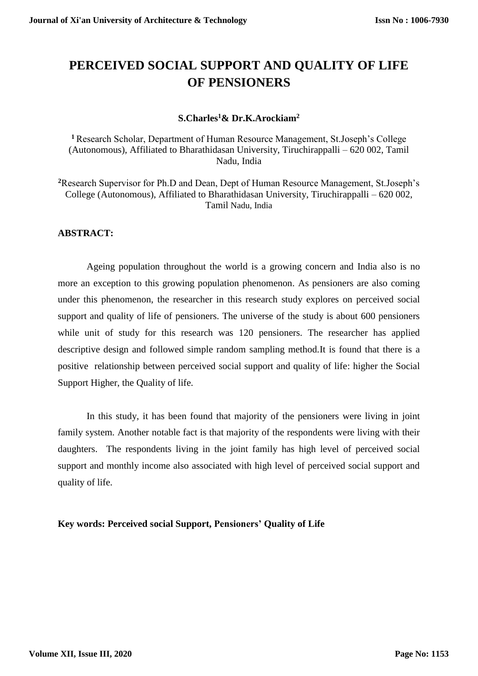# **PERCEIVED SOCIAL SUPPORT AND QUALITY OF LIFE OF PENSIONERS**

#### **S.Charles<sup>1</sup>& Dr.K.Arockiam<sup>2</sup>**

**<sup>1</sup>**Research Scholar, Department of Human Resource Management, St.Joseph's College (Autonomous), Affiliated to Bharathidasan University, Tiruchirappalli – 620 002, Tamil Nadu, India

**<sup>2</sup>**Research Supervisor for Ph.D and Dean, Dept of Human Resource Management, St.Joseph's College (Autonomous), Affiliated to Bharathidasan University, Tiruchirappalli – 620 002, Tamil Nadu, India

### **ABSTRACT:**

Ageing population throughout the world is a growing concern and India also is no more an exception to this growing population phenomenon. As pensioners are also coming under this phenomenon, the researcher in this research study explores on perceived social support and quality of life of pensioners. The universe of the study is about 600 pensioners while unit of study for this research was 120 pensioners. The researcher has applied descriptive design and followed simple random sampling method.It is found that there is a positive relationship between perceived social support and quality of life: higher the Social Support Higher, the Quality of life.

In this study, it has been found that majority of the pensioners were living in joint family system. Another notable fact is that majority of the respondents were living with their daughters. The respondents living in the joint family has high level of perceived social support and monthly income also associated with high level of perceived social support and quality of life.

#### **Key words: Perceived social Support, Pensioners' Quality of Life**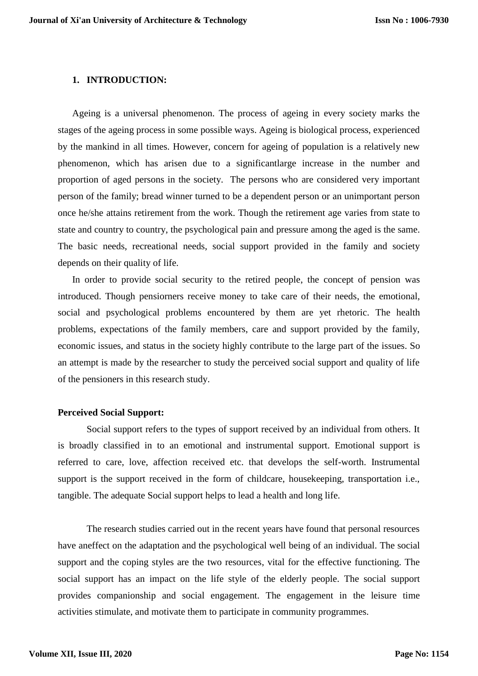#### **1. INTRODUCTION:**

Ageing is a universal phenomenon. The process of ageing in every society marks the stages of the ageing process in some possible ways. Ageing is biological process, experienced by the mankind in all times. However, concern for ageing of population is a relatively new phenomenon, which has arisen due to a significantlarge increase in the number and proportion of aged persons in the society. The persons who are considered very important person of the family; bread winner turned to be a dependent person or an unimportant person once he/she attains retirement from the work. Though the retirement age varies from state to state and country to country, the psychological pain and pressure among the aged is the same. The basic needs, recreational needs, social support provided in the family and society depends on their quality of life.

In order to provide social security to the retired people, the concept of pension was introduced. Though pensiorners receive money to take care of their needs, the emotional, social and psychological problems encountered by them are yet rhetoric. The health problems, expectations of the family members, care and support provided by the family, economic issues, and status in the society highly contribute to the large part of the issues. So an attempt is made by the researcher to study the perceived social support and quality of life of the pensioners in this research study.

#### **Perceived Social Support:**

Social support refers to the types of support received by an individual from others. It is broadly classified in to an emotional and instrumental support. Emotional support is referred to care, love, affection received etc. that develops the self-worth. Instrumental support is the support received in the form of childcare, housekeeping, transportation i.e., tangible. The adequate Social support helps to lead a health and long life.

The research studies carried out in the recent years have found that personal resources have aneffect on the adaptation and the psychological well being of an individual. The social support and the coping styles are the two resources, vital for the effective functioning. The social support has an impact on the life style of the elderly people. The social support provides companionship and social engagement. The engagement in the leisure time activities stimulate, and motivate them to participate in community programmes.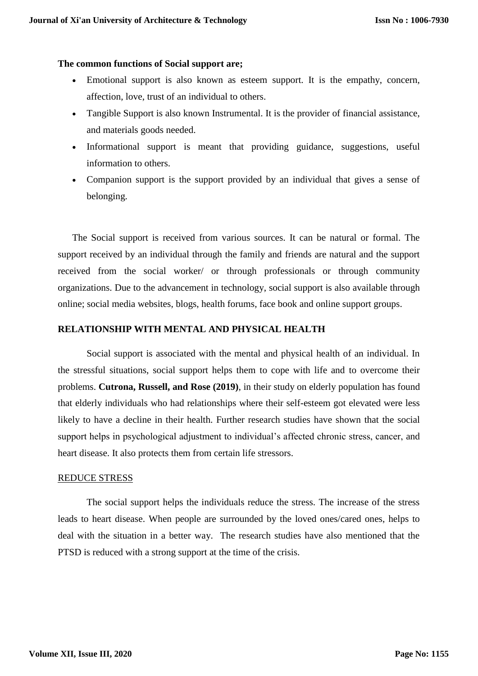#### **The common functions of Social support are;**

- Emotional support is also known as esteem support. It is the empathy, concern, affection, love, trust of an individual to others.
- Tangible Support is also known Instrumental. It is the provider of financial assistance, and materials goods needed.
- Informational support is meant that providing guidance, suggestions, useful information to others.
- Companion support is the support provided by an individual that gives a sense of belonging.

The Social support is received from various sources. It can be natural or formal. The support received by an individual through the family and friends are natural and the support received from the social worker/ or through professionals or through community organizations. Due to the advancement in technology, social support is also available through online; social media websites, blogs, health forums, face book and online support groups.

#### **RELATIONSHIP WITH MENTAL AND PHYSICAL HEALTH**

Social support is associated with the mental and physical health of an individual. In the stressful situations, social support helps them to cope with life and to overcome their problems. **Cutrona, Russell, and Rose (2019)**, in their study on elderly population has found that elderly individuals who had relationships where their self-esteem got elevated were less likely to have a decline in their health. Further research studies have shown that the social support helps in psychological adjustment to individual's affected chronic stress, cancer, and heart disease. It also protects them from certain life stressors.

#### REDUCE STRESS

The social support helps the individuals reduce the stress. The increase of the stress leads to heart disease. When people are surrounded by the loved ones/cared ones, helps to deal with the situation in a better way. The research studies have also mentioned that the PTSD is reduced with a strong support at the time of the crisis.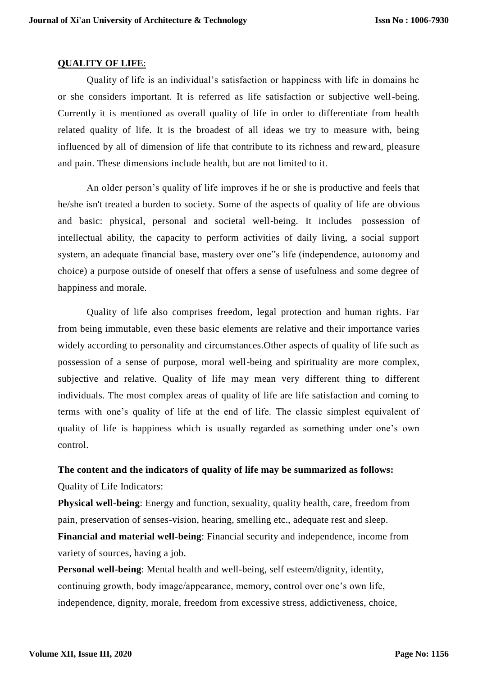#### **QUALITY OF LIFE**:

Quality of life is an individual's satisfaction or happiness with life in domains he or she considers important. It is referred as life satisfaction or subjective well-being. Currently it is mentioned as overall quality of life in order to differentiate from health related quality of life. It is the broadest of all ideas we try to measure with, being influenced by all of dimension of life that contribute to its richness and reward, pleasure and pain. These dimensions include health, but are not limited to it.

An older person's quality of life improves if he or she is productive and feels that he/she isn't treated a burden to society. Some of the aspects of quality of life are obvious and basic: physical, personal and societal well-being. It includes possession of intellectual ability, the capacity to perform activities of daily living, a social support system, an adequate financial base, mastery over one"s life (independence, autonomy and choice) a purpose outside of oneself that offers a sense of usefulness and some degree of happiness and morale.

Quality of life also comprises freedom, legal protection and human rights. Far from being immutable, even these basic elements are relative and their importance varies widely according to personality and circumstances.Other aspects of quality of life such as possession of a sense of purpose, moral well-being and spirituality are more complex, subjective and relative. Quality of life may mean very different thing to different individuals. The most complex areas of quality of life are life satisfaction and coming to terms with one's quality of life at the end of life. The classic simplest equivalent of quality of life is happiness which is usually regarded as something under one's own control.

## **The content and the indicators of quality of life may be summarized as follows:** Quality of Life Indicators:

**Physical well-being**: Energy and function, sexuality, quality health, care, freedom from pain, preservation of senses-vision, hearing, smelling etc., adequate rest and sleep. **Financial and material well-being**: Financial security and independence, income from variety of sources, having a job.

**Personal well-being**: Mental health and well-being, self esteem/dignity, identity, continuing growth, body image/appearance, memory, control over one's own life, independence, dignity, morale, freedom from excessive stress, addictiveness, choice,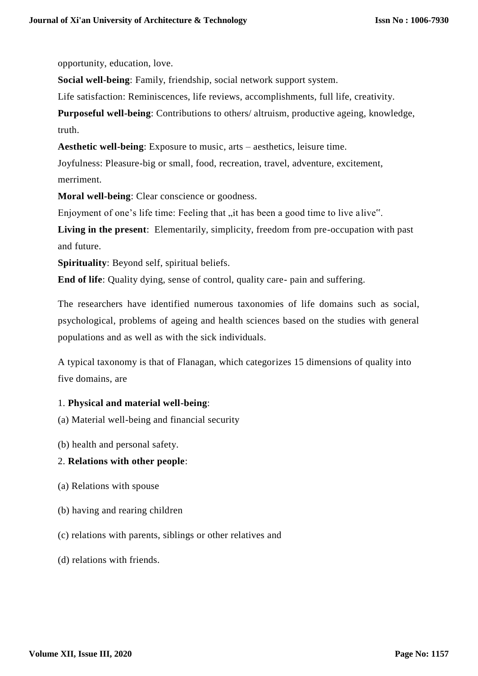opportunity, education, love.

**Social well-being**: Family, friendship, social network support system.

Life satisfaction: Reminiscences, life reviews, accomplishments, full life, creativity.

**Purposeful well-being**: Contributions to others/ altruism, productive ageing, knowledge, truth.

**Aesthetic well-being**: Exposure to music, arts – aesthetics, leisure time.

Joyfulness: Pleasure-big or small, food, recreation, travel, adventure, excitement, merriment.

**Moral well-being**: Clear conscience or goodness.

Enjoyment of one's life time: Feeling that "it has been a good time to live alive".

**Living in the present**: Elementarily, simplicity, freedom from pre-occupation with past and future.

**Spirituality**: Beyond self, spiritual beliefs.

**End of life**: Quality dying, sense of control, quality care- pain and suffering.

The researchers have identified numerous taxonomies of life domains such as social, psychological, problems of ageing and health sciences based on the studies with general populations and as well as with the sick individuals.

A typical taxonomy is that of Flanagan, which categorizes 15 dimensions of quality into five domains, are

## 1. **Physical and material well-being**:

(a) Material well-being and financial security

(b) health and personal safety.

#### 2. **Relations with other people**:

- (a) Relations with spouse
- (b) having and rearing children
- (c) relations with parents, siblings or other relatives and
- (d) relations with friends.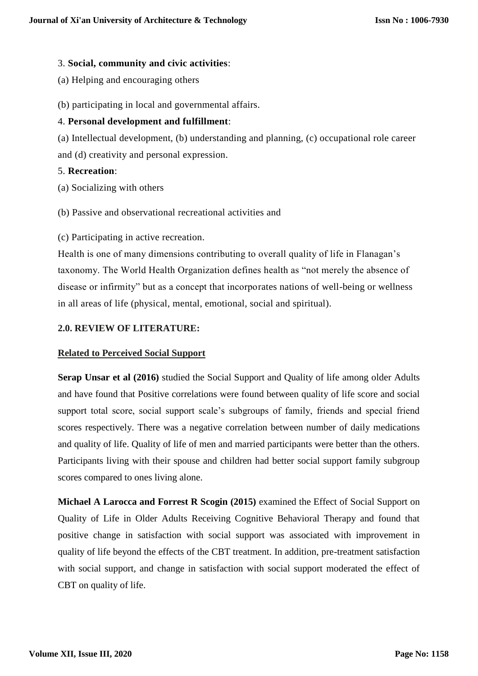#### 3. **Social, community and civic activities**:

- (a) Helping and encouraging others
- (b) participating in local and governmental affairs.

### 4. **Personal development and fulfillment**:

(a) Intellectual development, (b) understanding and planning, (c) occupational role career and (d) creativity and personal expression.

#### 5. **Recreation**:

- (a) Socializing with others
- (b) Passive and observational recreational activities and
- (c) Participating in active recreation.

Health is one of many dimensions contributing to overall quality of life in Flanagan's taxonomy. The World Health Organization defines health as "not merely the absence of disease or infirmity" but as a concept that incorporates nations of well-being or wellness in all areas of life (physical, mental, emotional, social and spiritual).

## **2.0. REVIEW OF LITERATURE:**

#### **Related to Perceived Social Support**

**Serap Unsar et al (2016)** studied the Social Support and Quality of life among older Adults and have found that Positive correlations were found between quality of life score and social support total score, social support scale's subgroups of family, friends and special friend scores respectively. There was a negative correlation between number of daily medications and quality of life. Quality of life of men and married participants were better than the others. Participants living with their spouse and children had better social support family subgroup scores compared to ones living alone.

**Michael A Larocca and Forrest R Scogin (2015)** examined the Effect of Social Support on Quality of Life in Older Adults Receiving Cognitive Behavioral Therapy and found that positive change in satisfaction with social support was associated with improvement in quality of life beyond the effects of the CBT treatment. In addition, pre-treatment satisfaction with social support, and change in satisfaction with social support moderated the effect of CBT on quality of life.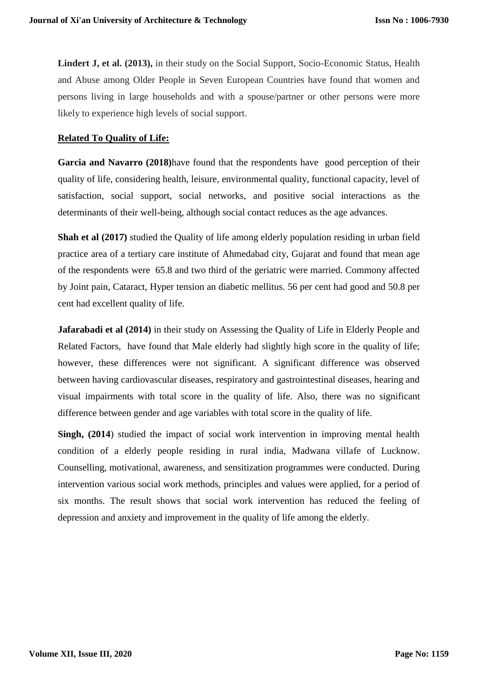**Lindert J, et al. (2013),** in their study on the Social Support, Socio-Economic Status, Health and Abuse among Older People in Seven European Countries have found that women and persons living in large households and with a spouse/partner or other persons were more likely to experience high levels of social support.

#### **Related To Quality of Life:**

**Garcia and Navarro (2018)**have found that the respondents have good perception of their quality of life, considering health, leisure, environmental quality, functional capacity, level of satisfaction, social support, social networks, and positive social interactions as the determinants of their well-being, although social contact reduces as the age advances.

**Shah et al (2017)** studied the Quality of life among elderly population residing in urban field practice area of a tertiary care institute of Ahmedabad city, Gujarat and found that mean age of the respondents were 65.8 and two third of the geriatric were married. Commony affected by Joint pain, Cataract, Hyper tension an diabetic mellitus. 56 per cent had good and 50.8 per cent had excellent quality of life.

**Jafarabadi et al (2014)** in their study on Assessing the Quality of Life in Elderly People and Related Factors, have found that Male elderly had slightly high score in the quality of life; however, these differences were not significant. A significant difference was observed between having cardiovascular diseases, respiratory and gastrointestinal diseases, hearing and visual impairments with total score in the quality of life. Also, there was no significant difference between gender and age variables with total score in the quality of life.

**Singh, (2014**) studied the impact of social work intervention in improving mental health condition of a elderly people residing in rural india, Madwana villafe of Lucknow. Counselling, motivational, awareness, and sensitization programmes were conducted. During intervention various social work methods, principles and values were applied, for a period of six months. The result shows that social work intervention has reduced the feeling of depression and anxiety and improvement in the quality of life among the elderly.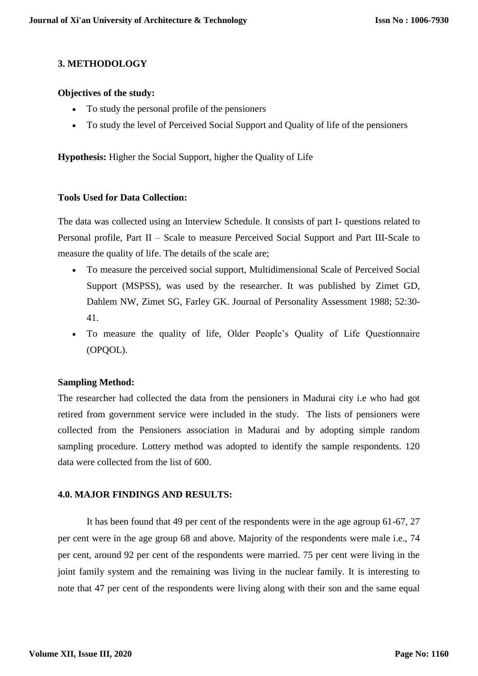## **3. METHODOLOGY**

#### **Objectives of the study:**

- To study the personal profile of the pensioners
- To study the level of Perceived Social Support and Quality of life of the pensioners

**Hypothesis:** Higher the Social Support, higher the Quality of Life

#### **Tools Used for Data Collection:**

The data was collected using an Interview Schedule. It consists of part I- questions related to Personal profile, Part II – Scale to measure Perceived Social Support and Part III-Scale to measure the quality of life. The details of the scale are;

- To measure the perceived social support, Multidimensional Scale of Perceived Social Support (MSPSS), was used by the researcher. It was published by Zimet GD, Dahlem NW, Zimet SG, Farley GK. Journal of Personality Assessment 1988; 52:30- 41.
- To measure the quality of life, Older People's Quality of Life Questionnaire (OPQOL).

#### **Sampling Method:**

The researcher had collected the data from the pensioners in Madurai city i.e who had got retired from government service were included in the study. The lists of pensioners were collected from the Pensioners association in Madurai and by adopting simple random sampling procedure. Lottery method was adopted to identify the sample respondents. 120 data were collected from the list of 600.

#### **4.0. MAJOR FINDINGS AND RESULTS:**

It has been found that 49 per cent of the respondents were in the age agroup 61-67, 27 per cent were in the age group 68 and above. Majority of the respondents were male i.e., 74 per cent, around 92 per cent of the respondents were married. 75 per cent were living in the joint family system and the remaining was living in the nuclear family. It is interesting to note that 47 per cent of the respondents were living along with their son and the same equal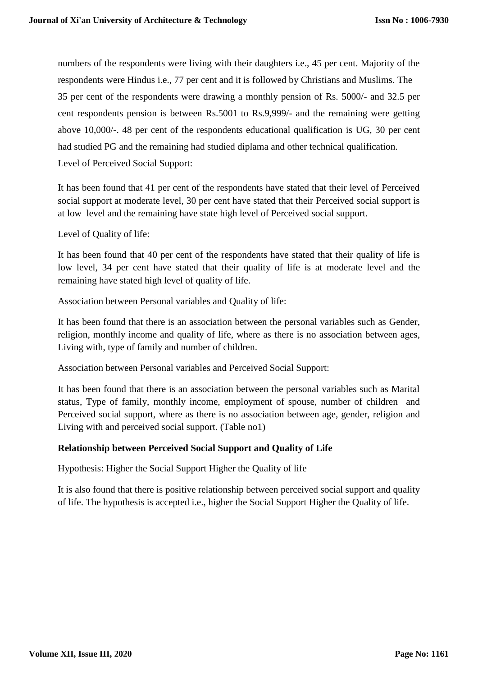numbers of the respondents were living with their daughters i.e., 45 per cent. Majority of the respondents were Hindus i.e., 77 per cent and it is followed by Christians and Muslims. The 35 per cent of the respondents were drawing a monthly pension of Rs. 5000/- and 32.5 per cent respondents pension is between Rs.5001 to Rs.9,999/- and the remaining were getting above 10,000/-. 48 per cent of the respondents educational qualification is UG, 30 per cent had studied PG and the remaining had studied diplama and other technical qualification. Level of Perceived Social Support:

It has been found that 41 per cent of the respondents have stated that their level of Perceived social support at moderate level, 30 per cent have stated that their Perceived social support is at low level and the remaining have state high level of Perceived social support.

Level of Quality of life:

It has been found that 40 per cent of the respondents have stated that their quality of life is low level, 34 per cent have stated that their quality of life is at moderate level and the remaining have stated high level of quality of life.

Association between Personal variables and Quality of life:

It has been found that there is an association between the personal variables such as Gender, religion, monthly income and quality of life, where as there is no association between ages, Living with, type of family and number of children.

Association between Personal variables and Perceived Social Support:

It has been found that there is an association between the personal variables such as Marital status, Type of family, monthly income, employment of spouse, number of children and Perceived social support, where as there is no association between age, gender, religion and Living with and perceived social support. (Table no1)

## **Relationship between Perceived Social Support and Quality of Life**

Hypothesis: Higher the Social Support Higher the Quality of life

It is also found that there is positive relationship between perceived social support and quality of life. The hypothesis is accepted i.e., higher the Social Support Higher the Quality of life.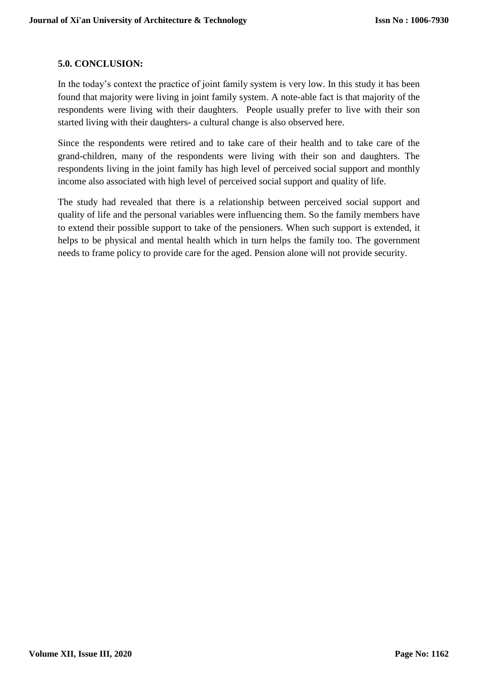### **5.0. CONCLUSION:**

In the today's context the practice of joint family system is very low. In this study it has been found that majority were living in joint family system. A note-able fact is that majority of the respondents were living with their daughters. People usually prefer to live with their son started living with their daughters- a cultural change is also observed here.

Since the respondents were retired and to take care of their health and to take care of the grand-children, many of the respondents were living with their son and daughters. The respondents living in the joint family has high level of perceived social support and monthly income also associated with high level of perceived social support and quality of life.

The study had revealed that there is a relationship between perceived social support and quality of life and the personal variables were influencing them. So the family members have to extend their possible support to take of the pensioners. When such support is extended, it helps to be physical and mental health which in turn helps the family too. The government needs to frame policy to provide care for the aged. Pension alone will not provide security.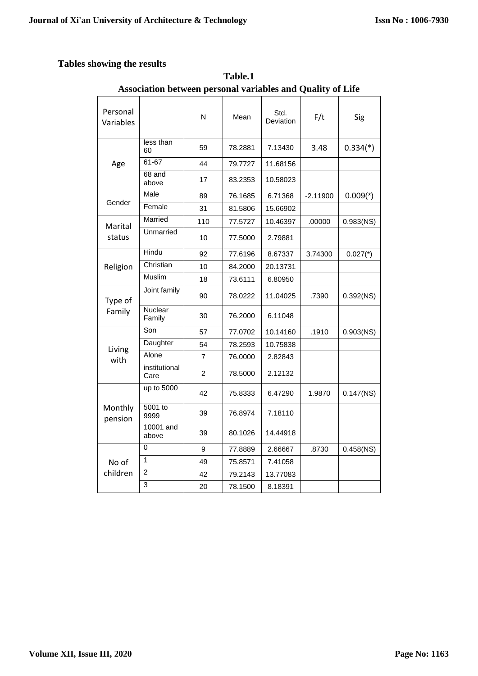## **Tables showing the results**

|                       | Association between personal variables and Quanty of Life |     |         |                   |            |              |
|-----------------------|-----------------------------------------------------------|-----|---------|-------------------|------------|--------------|
| Personal<br>Variables |                                                           | N   | Mean    | Std.<br>Deviation | F/t        | Sig          |
| Age                   | less than<br>60                                           | 59  | 78.2881 | 7.13430           | 3.48       | $0.334(*)$   |
|                       | 61-67                                                     | 44  | 79.7727 | 11.68156          |            |              |
|                       | $68$ and<br>above                                         | 17  | 83.2353 | 10.58023          |            |              |
|                       | Male                                                      | 89  | 76.1685 | 6.71368           | $-2.11900$ | $0.009(*)$   |
| Gender                | Female                                                    | 31  | 81.5806 | 15.66902          |            |              |
| Marital               | Married                                                   | 110 | 77.5727 | 10.46397          | .00000     | $0.983$ (NS) |
| status                | Unmarried                                                 | 10  | 77.5000 | 2.79881           |            |              |
| Religion              | Hindu                                                     | 92  | 77.6196 | 8.67337           | 3.74300    | $0.027$ (*)  |
|                       | Christian                                                 | 10  | 84.2000 | 20.13731          |            |              |
|                       | <b>Muslim</b>                                             | 18  | 73.6111 | 6.80950           |            |              |
| Type of<br>Family     | Joint family                                              | 90  | 78.0222 | 11.04025          | .7390      | $0.392$ (NS) |
|                       | Nuclear<br>Family                                         | 30  | 76.2000 | 6.11048           |            |              |
| Living                | Son                                                       | 57  | 77.0702 | 10.14160          | .1910      | $0.903$ (NS) |
|                       | Daughter                                                  | 54  | 78.2593 | 10.75838          |            |              |
| with                  | Alone                                                     | 7   | 76.0000 | 2.82843           |            |              |
|                       | institutional<br>Care                                     | 2   | 78.5000 | 2.12132           |            |              |
| Monthly<br>pension    | up to 5000                                                | 42  | 75.8333 | 6.47290           | 1.9870     | $0.147$ (NS) |
|                       | 5001 to<br>9999                                           | 39  | 76.8974 | 7.18110           |            |              |
|                       | 10001 and<br>above                                        | 39  | 80.1026 | 14.44918          |            |              |
| No of<br>children     | 0                                                         | 9   | 77.8889 | 2.66667           | .8730      | $0.458$ (NS) |
|                       | 1                                                         | 49  | 75.8571 | 7.41058           |            |              |
|                       | $\overline{c}$                                            | 42  | 79.2143 | 13.77083          |            |              |
|                       | $\overline{3}$                                            | 20  | 78.1500 | 8.18391           |            |              |

**Table.1 Association between personal variables and Quality of Life**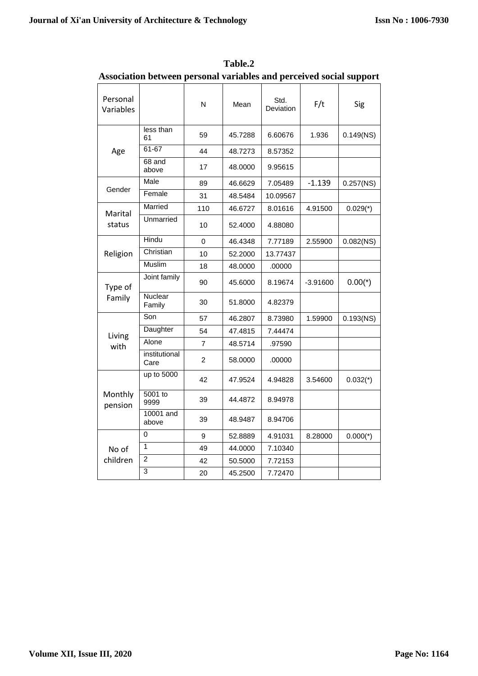| Personal<br>Variables |                       | N        | Mean    | Std.<br>Deviation | F/t        | Sig          |
|-----------------------|-----------------------|----------|---------|-------------------|------------|--------------|
| Age                   | less than<br>61       | 59       | 45.7288 | 6.60676           | 1.936      | $0.149$ (NS) |
|                       | 61-67                 | 44       | 48.7273 | 8.57352           |            |              |
|                       | 68 and<br>above       | 17       | 48.0000 | 9.95615           |            |              |
|                       | Male                  | 89       | 46.6629 | 7.05489           | $-1.139$   | $0.257$ (NS) |
| Gender                | Female                | 31       | 48.5484 | 10.09567          |            |              |
| Marital               | Married               | 110      | 46.6727 | 8.01616           | 4.91500    | $0.029(*)$   |
| status                | Unmarried             | 10       | 52.4000 | 4.88080           |            |              |
|                       | Hindu                 | $\Omega$ | 46.4348 | 7.77189           | 2.55900    | $0.082$ (NS) |
| Religion              | Christian             | 10       | 52.2000 | 13.77437          |            |              |
|                       | Muslim                | 18       | 48.0000 | .00000            |            |              |
| Type of               | Joint family          | 90       | 45.6000 | 8.19674           | $-3.91600$ | $0.00(*)$    |
| Family                | Nuclear<br>Family     | 30       | 51.8000 | 4.82379           |            |              |
|                       | Son                   | 57       | 46.2807 | 8.73980           | 1.59900    | $0.193$ (NS) |
| Living                | Daughter              | 54       | 47.4815 | 7.44474           |            |              |
| with                  | Alone                 | 7        | 48.5714 | .97590            |            |              |
|                       | institutional<br>Care | 2        | 58.0000 | .00000            |            |              |
|                       | up to 5000            | 42       | 47.9524 | 4.94828           | 3.54600    | $0.032(*)$   |
| Monthly<br>pension    | 5001 to<br>9999       | 39       | 44.4872 | 8.94978           |            |              |
|                       | 10001 and<br>above    | 39       | 48.9487 | 8.94706           |            |              |
|                       | 0                     | 9        | 52.8889 | 4.91031           | 8.28000    | $0.000(*)$   |
| No of                 | 1                     | 49       | 44.0000 | 7.10340           |            |              |
| children              | $\overline{c}$        | 42       | 50.5000 | 7.72153           |            |              |
|                       | 3                     | 20       | 45.2500 | 7.72470           |            |              |

**Table.2 Association between personal variables and perceived social support**